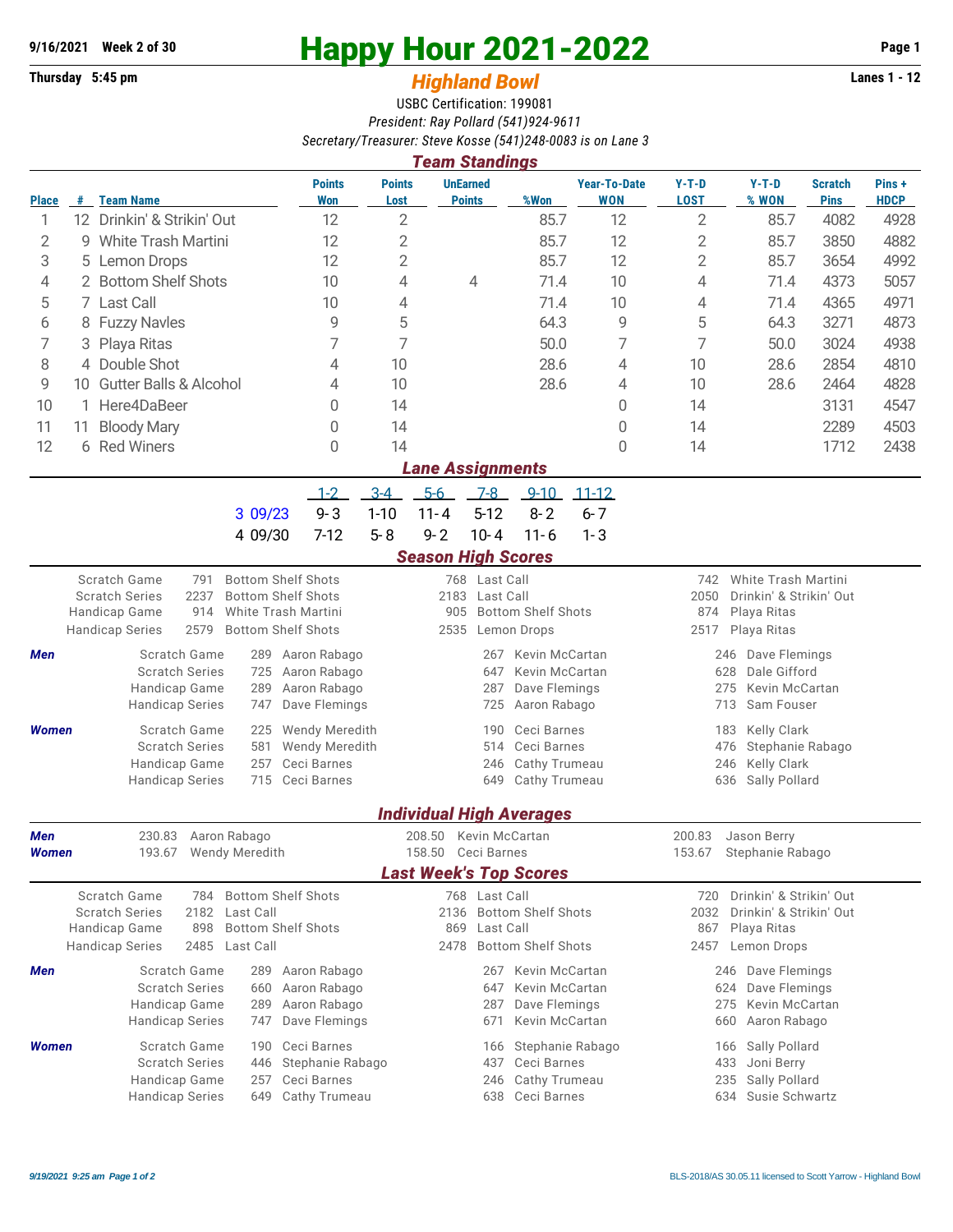## **9/16/2021** Week 2 of 30<br>
Thursday 5:45 pm<br> **Happy Hour 2021-2022** Page 1<br> **Highland Rowl**

## **Thursday 5:45 pm** *Highland Bowl*

USBC Certification: 199081 *President: Ray Pollard (541)924-9611 Secretary/Treasurer: Steve Kosse (541)248-0083 is on Lane 3*

|                                                                                                                              | <b>Team Standings</b>     |                                            |                                                |                       |                                          |                                   |                                 |                                   |                                                   |                         |                               |                      |  |
|------------------------------------------------------------------------------------------------------------------------------|---------------------------|--------------------------------------------|------------------------------------------------|-----------------------|------------------------------------------|-----------------------------------|---------------------------------|-----------------------------------|---------------------------------------------------|-------------------------|-------------------------------|----------------------|--|
| <b>Place</b>                                                                                                                 | #                         | <b>Team Name</b>                           | <b>Points</b><br>Won                           | <b>Points</b><br>Lost |                                          | <b>UnEarned</b><br><b>Points</b>  | %Won                            | <b>Year-To-Date</b><br><b>WON</b> | $Y-T-D$<br><b>LOST</b>                            | $Y-T-D$<br>% WON        | <b>Scratch</b><br><b>Pins</b> | Pins+<br><b>HDCP</b> |  |
| 1                                                                                                                            |                           | 12 Drinkin' & Strikin' Out                 | 12                                             | $\overline{2}$        |                                          |                                   | 85.7                            | 12                                | $\overline{2}$                                    | 85.7                    | 4082                          | 4928                 |  |
| 2                                                                                                                            | 9                         | <b>White Trash Martini</b>                 | 12                                             | $\overline{2}$        |                                          |                                   | 85.7                            | 12                                | 2                                                 | 85.7                    | 3850                          | 4882                 |  |
| 3                                                                                                                            | 5                         | Lemon Drops                                | 12                                             | $\overline{2}$        |                                          |                                   | 85.7                            | 12                                | $\mathbf{2}$                                      | 85.7                    | 3654                          | 4992                 |  |
| 4                                                                                                                            |                           | 2 Bottom Shelf Shots                       | 10                                             | 4                     |                                          | 4                                 | 71.4                            | 10                                | 4                                                 | 71.4                    | 4373                          | 5057                 |  |
| 5                                                                                                                            |                           | 7 Last Call                                | 10                                             | 4                     |                                          |                                   | 71.4                            | 10                                | 4                                                 | 71.4                    | 4365                          | 4971                 |  |
| 6                                                                                                                            |                           | 8 Fuzzy Navles                             | 9                                              | 5                     |                                          |                                   | 64.3                            | 9                                 | 5                                                 | 64.3                    | 3271                          | 4873                 |  |
| 7                                                                                                                            | 3                         | Playa Ritas                                | 7                                              | 7                     |                                          |                                   | 50.0                            | 7                                 | 7                                                 | 50.0                    | 3024                          | 4938                 |  |
| 8                                                                                                                            |                           | 4 Double Shot                              | 4                                              | 10                    |                                          |                                   | 28.6                            | 4                                 | 10                                                | 28.6                    | 2854                          | 4810                 |  |
| 9                                                                                                                            | 10 Gutter Balls & Alcohol |                                            | 4                                              | 10                    |                                          |                                   | 28.6                            | 4                                 | 10                                                | 28.6                    | 2464                          | 4828                 |  |
| 10                                                                                                                           | 1                         | Here4DaBeer                                | 0                                              | 14                    |                                          |                                   |                                 | 0                                 | 14                                                |                         | 3131                          | 4547                 |  |
| 11                                                                                                                           | 11                        | <b>Bloody Mary</b>                         | 0                                              | 14                    |                                          |                                   |                                 | 0                                 | 14                                                |                         | 2289                          | 4503                 |  |
| 12                                                                                                                           |                           | 6 Red Winers                               | $\Omega$                                       | 14                    |                                          |                                   |                                 | $\Omega$                          | 14                                                |                         | 1712                          | 2438                 |  |
|                                                                                                                              |                           |                                            |                                                |                       | <b>Lane Assignments</b>                  |                                   |                                 |                                   |                                                   |                         |                               |                      |  |
|                                                                                                                              |                           |                                            | $1 - 2$                                        | $3-4$                 | $5-6$                                    | $7-8$                             | $9 - 10$                        | $11 - 12$                         |                                                   |                         |                               |                      |  |
|                                                                                                                              |                           |                                            | $9 - 3$<br>3 09/23                             | $1 - 10$              | $11 - 4$                                 | $5 - 12$                          | $8 - 2$                         | $6 - 7$                           |                                                   |                         |                               |                      |  |
|                                                                                                                              |                           |                                            | 4 09/30<br>$7-12$                              | $5 - 8$               | $9 - 2$                                  | $10 - 4$                          | $11 - 6$                        | $1 - 3$                           |                                                   |                         |                               |                      |  |
|                                                                                                                              |                           |                                            |                                                |                       |                                          |                                   |                                 |                                   |                                                   |                         |                               |                      |  |
| <b>Season High Scores</b><br><b>Bottom Shelf Shots</b><br>Scratch Game<br>791<br>768 Last Call<br>742<br>White Trash Martini |                           |                                            |                                                |                       |                                          |                                   |                                 |                                   |                                                   |                         |                               |                      |  |
|                                                                                                                              |                           | <b>Scratch Series</b><br>2237              | <b>Bottom Shelf Shots</b>                      |                       |                                          | 2183 Last Call                    |                                 |                                   | 2050<br>Drinkin' & Strikin' Out                   |                         |                               |                      |  |
|                                                                                                                              |                           | Handicap Game<br>914                       | White Trash Martini                            |                       | 905<br><b>Bottom Shelf Shots</b>         |                                   |                                 |                                   | 874<br>Playa Ritas                                |                         |                               |                      |  |
|                                                                                                                              |                           | 2579<br><b>Handicap Series</b>             | <b>Bottom Shelf Shots</b>                      |                       | 2535                                     |                                   | Lemon Drops                     |                                   | 2517<br>Playa Ritas                               |                         |                               |                      |  |
| Men                                                                                                                          |                           | Scratch Game                               | Aaron Rabago<br>289                            |                       |                                          |                                   | Kevin McCartan                  |                                   | 246 Dave Flemings                                 |                         |                               |                      |  |
|                                                                                                                              |                           | <b>Scratch Series</b>                      | Aaron Rabago<br>725                            |                       |                                          | 647                               | Kevin McCartan                  |                                   | Dale Gifford<br>628                               |                         |                               |                      |  |
|                                                                                                                              |                           | Handicap Game<br><b>Handicap Series</b>    | 289<br>Aaron Rabago<br>Dave Flemings<br>747    |                       |                                          | 287<br>725                        | Dave Flemings<br>Aaron Rabago   |                                   | 275<br><b>Kevin McCartan</b><br>713<br>Sam Fouser |                         |                               |                      |  |
|                                                                                                                              |                           |                                            |                                                |                       |                                          |                                   |                                 |                                   |                                                   |                         |                               |                      |  |
| Women                                                                                                                        |                           | Scratch Game<br><b>Scratch Series</b>      | Wendy Meredith<br>225<br>581<br>Wendy Meredith |                       | Ceci Barnes<br>190<br>Ceci Barnes<br>514 |                                   |                                 |                                   | Kelly Clark<br>183<br>Stephanie Rabago<br>476     |                         |                               |                      |  |
|                                                                                                                              |                           | Handicap Game                              | Ceci Barnes<br>257                             |                       |                                          | 246                               | Cathy Trumeau                   |                                   | <b>Kelly Clark</b><br>246                         |                         |                               |                      |  |
|                                                                                                                              |                           | <b>Handicap Series</b>                     | 715<br>Ceci Barnes                             |                       |                                          | Cathy Trumeau<br>649              |                                 |                                   | Sally Pollard<br>636                              |                         |                               |                      |  |
|                                                                                                                              |                           |                                            |                                                |                       |                                          |                                   | <b>Individual High Averages</b> |                                   |                                                   |                         |                               |                      |  |
| Men                                                                                                                          |                           | 230.83 Aaron Rabago                        |                                                |                       | 208.50 Kevin McCartan                    |                                   |                                 |                                   | 200.83                                            | Jason Berry             |                               |                      |  |
| <b>Women</b>                                                                                                                 |                           | 193.67 Wendy Meredith                      |                                                |                       | 158.50 Ceci Barnes                       |                                   |                                 |                                   | 153.67 Stephanie Rabago                           |                         |                               |                      |  |
|                                                                                                                              |                           |                                            |                                                |                       |                                          |                                   | <b>Last Week's Top Scores</b>   |                                   |                                                   |                         |                               |                      |  |
|                                                                                                                              |                           | Scratch Game<br>784                        | <b>Bottom Shelf Shots</b>                      |                       |                                          | 768 Last Call                     |                                 |                                   | 720                                               | Drinkin' & Strikin' Out |                               |                      |  |
|                                                                                                                              |                           | <b>Scratch Series</b><br>2182<br>Last Call |                                                |                       |                                          | <b>Bottom Shelf Shots</b><br>2136 |                                 |                                   | Drinkin' & Strikin' Out<br>2032                   |                         |                               |                      |  |
|                                                                                                                              |                           | Handicap Game<br>898                       | <b>Bottom Shelf Shots</b>                      |                       | 869                                      | Last Call                         |                                 |                                   | 867<br>Playa Ritas<br>2457 Lemon Drops            |                         |                               |                      |  |
|                                                                                                                              |                           | <b>Handicap Series</b><br>2485 Last Call   |                                                |                       | <b>Bottom Shelf Shots</b><br>2478        |                                   |                                 |                                   |                                                   |                         |                               |                      |  |
| Men                                                                                                                          |                           | Scratch Game                               | Aaron Rabago<br>289                            |                       |                                          | 267                               | <b>Kevin McCartan</b>           |                                   |                                                   | 246 Dave Flemings       |                               |                      |  |
|                                                                                                                              |                           | <b>Scratch Series</b><br>Handicap Game     | Aaron Rabago<br>660<br>Aaron Rabago<br>289     |                       |                                          | 647<br>287                        | Kevin McCartan<br>Dave Flemings |                                   |                                                   | Dave Flemings<br>624    |                               |                      |  |
|                                                                                                                              |                           | <b>Handicap Series</b>                     | Dave Flemings<br>747                           |                       |                                          | 671                               | Kevin McCartan                  |                                   | 275<br>Kevin McCartan<br>Aaron Rabago<br>660      |                         |                               |                      |  |
|                                                                                                                              |                           |                                            |                                                |                       |                                          |                                   |                                 |                                   |                                                   |                         |                               |                      |  |
| <b>Women</b>                                                                                                                 |                           | Scratch Game<br><b>Scratch Series</b>      | Ceci Barnes<br>190<br>Stephanie Rabago<br>446  |                       |                                          | 166<br>437                        | Stephanie Rabago<br>Ceci Barnes |                                   | Sally Pollard<br>166<br>Joni Berry                |                         |                               |                      |  |
|                                                                                                                              |                           | Handicap Game                              | Ceci Barnes<br>257                             |                       | 433<br>Cathy Trumeau<br>235<br>246       |                                   |                                 |                                   |                                                   | Sally Pollard           |                               |                      |  |
|                                                                                                                              |                           | <b>Handicap Series</b>                     | Cathy Trumeau<br>649                           | Ceci Barnes<br>638    |                                          |                                   |                                 |                                   |                                                   | 634<br>Susie Schwartz   |                               |                      |  |
|                                                                                                                              |                           |                                            |                                                |                       |                                          |                                   |                                 |                                   |                                                   |                         |                               |                      |  |